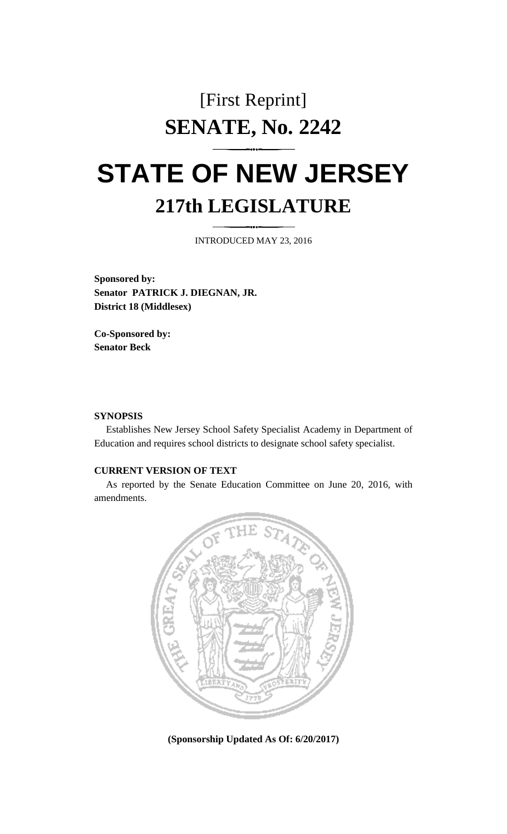## [First Reprint] **SENATE, No. 2242**

## **STATE OF NEW JERSEY 217th LEGISLATURE**

INTRODUCED MAY 23, 2016

**Sponsored by: Senator PATRICK J. DIEGNAN, JR. District 18 (Middlesex)**

**Co-Sponsored by: Senator Beck**

## **SYNOPSIS**

Establishes New Jersey School Safety Specialist Academy in Department of Education and requires school districts to designate school safety specialist.

## **CURRENT VERSION OF TEXT**

As reported by the Senate Education Committee on June 20, 2016, with amendments.



**(Sponsorship Updated As Of: 6/20/2017)**